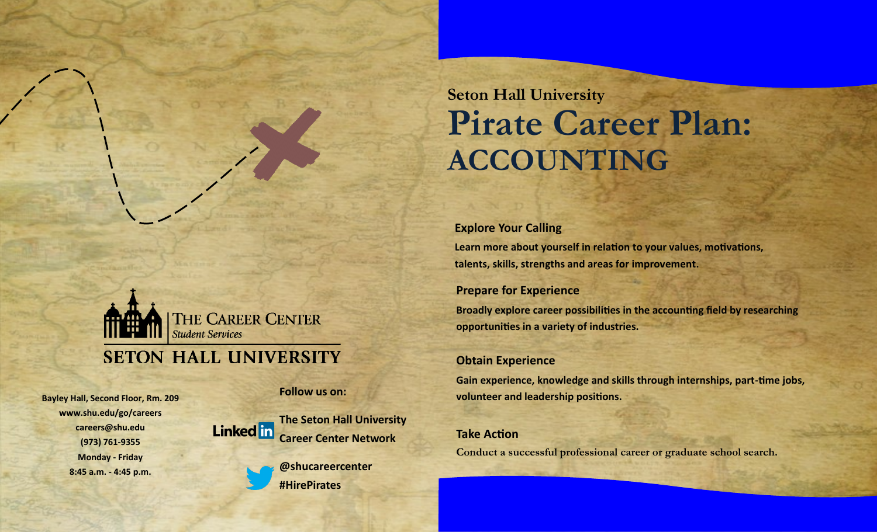# **Seton Hall University Pirate Career Plan: ACCOUNTING**



## **SETON HALL UNIVERSITY**

**Bayley Hall, Second Floor, Rm. 209 www.shu.edu/go/careers careers@shu.edu (973) 761-9355 Monday - Friday 8:45 a.m. - 4:45 p.m.**

**Follow us on:**



**@shucareercenter #HirePirates**

**Explore Your Calling Learn more about yourself in relation to your values, motivations, talents, skills, strengths and areas for improvement.**

### **Prepare for Experience**

**Broadly explore career possibilities in the accounting field by researching opportunities in a variety of industries.**

### **Obtain Experience**

**Gain experience, knowledge and skills through internships, part-time jobs, volunteer and leadership positions.**

## **Take Action**

**Conduct a successful professional career or graduate school search.**